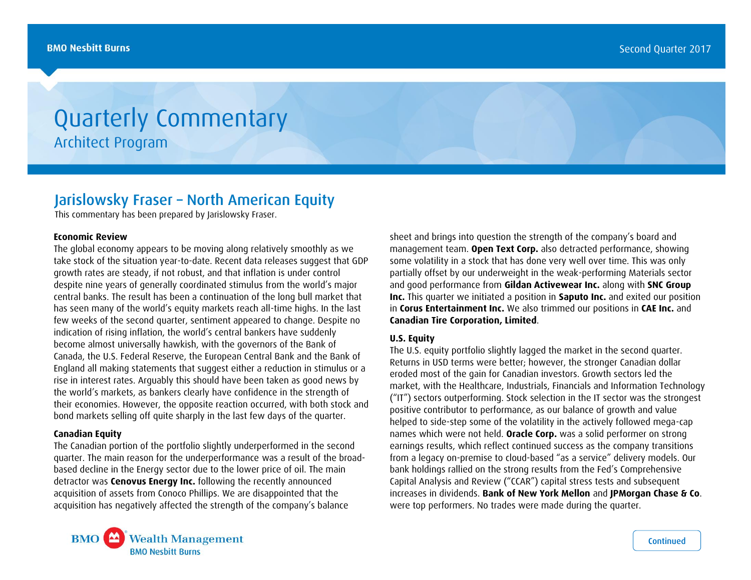# Quarterly Commentary Architect Program

## Jarislowsky Fraser – North American Equity

This commentary has been prepared by Jarislowsky Fraser.

#### **Economic Review**

The global economy appears to be moving along relatively smoothly as we take stock of the situation year-to-date. Recent data releases suggest that GDP growth rates are steady, if not robust, and that inflation is under control despite nine years of generally coordinated stimulus from the world's major central banks. The result has been a continuation of the long bull market that has seen many of the world's equity markets reach all-time highs. In the last few weeks of the second quarter, sentiment appeared to change. Despite no indication of rising inflation, the world's central bankers have suddenly become almost universally hawkish, with the governors of the Bank of Canada, the U.S. Federal Reserve, the European Central Bank and the Bank of England all making statements that suggest either a reduction in stimulus or a rise in interest rates. Arguably this should have been taken as good news by the world's markets, as bankers clearly have confidence in the strength of their economies. However, the opposite reaction occurred, with both stock and bond markets selling off quite sharply in the last few days of the quarter.

#### **Canadian Equity**

The Canadian portion of the portfolio slightly underperformed in the second quarter. The main reason for the underperformance was a result of the broadbased decline in the Energy sector due to the lower price of oil. The main detractor was **Cenovus Energy Inc.** following the recently announced acquisition of assets from Conoco Phillips. We are disappointed that the acquisition has negatively affected the strength of the company's balance

sheet and brings into question the strength of the company's board and management team. **Open Text Corp.** also detracted performance, showing some volatility in a stock that has done very well over time. This was only partially offset by our underweight in the weak-performing Materials sector and good performance from **Gildan Activewear Inc.** along with **SNC Group Inc.** This quarter we initiated a position in **Saputo Inc.** and exited our position in **Corus Entertainment Inc.** We also trimmed our positions in **CAE Inc.** and **Canadian Tire Corporation, Limited**.

### **U.S. Equity**

The U.S. equity portfolio slightly lagged the market in the second quarter. Returns in USD terms were better; however, the stronger Canadian dollar eroded most of the gain for Canadian investors. Growth sectors led the market, with the Healthcare, Industrials, Financials and Information Technology ("IT") sectors outperforming. Stock selection in the IT sector was the strongest positive contributor to performance, as our balance of growth and value helped to side-step some of the volatility in the actively followed mega-cap names which were not held. **Oracle Corp.** was a solid performer on strong earnings results, which reflect continued success as the company transitions from a legacy on-premise to cloud-based "as a service" delivery models. Our bank holdings rallied on the strong results from the Fed's Comprehensive Capital Analysis and Review ("CCAR") capital stress tests and subsequent increases in dividends. **Bank of New York Mellon** and **JPMorgan Chase & Co**. were top performers. No trades were made during the quarter.